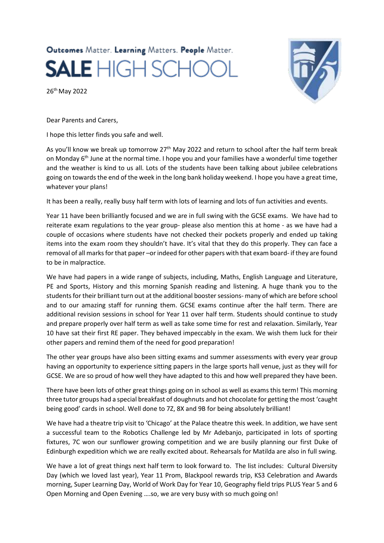## Outcomes Matter. Learning Matters. People Matter. **SALE** HIGH SCHO

26th May 2022



Dear Parents and Carers,

I hope this letter finds you safe and well.

As you'll know we break up tomorrow 27<sup>th</sup> May 2022 and return to school after the half term break on Monday 6<sup>th</sup> June at the normal time. I hope you and your families have a wonderful time together and the weather is kind to us all. Lots of the students have been talking about jubilee celebrations going on towards the end of the week in the long bank holiday weekend. I hope you have a great time, whatever your plans!

It has been a really, really busy half term with lots of learning and lots of fun activities and events.

Year 11 have been brilliantly focused and we are in full swing with the GCSE exams. We have had to reiterate exam regulations to the year group- please also mention this at home - as we have had a couple of occasions where students have not checked their pockets properly and ended up taking items into the exam room they shouldn't have. It's vital that they do this properly. They can face a removal of all marks for that paper –or indeed for other papers with that exam board- if they are found to be in malpractice.

We have had papers in a wide range of subjects, including, Maths, English Language and Literature, PE and Sports, History and this morning Spanish reading and listening. A huge thank you to the students for their brilliant turn out at the additional booster sessions- many of which are before school and to our amazing staff for running them. GCSE exams continue after the half term. There are additional revision sessions in school for Year 11 over half term. Students should continue to study and prepare properly over half term as well as take some time for rest and relaxation. Similarly, Year 10 have sat their first RE paper. They behaved impeccably in the exam. We wish them luck for their other papers and remind them of the need for good preparation!

The other year groups have also been sitting exams and summer assessments with every year group having an opportunity to experience sitting papers in the large sports hall venue, just as they will for GCSE. We are so proud of how well they have adapted to this and how well prepared they have been.

There have been lots of other great things going on in school as well as exams this term! This morning three tutor groups had a special breakfast of doughnuts and hot chocolate for getting the most 'caught being good' cards in school. Well done to 7Z, 8X and 9B for being absolutely brilliant!

We have had a theatre trip visit to 'Chicago' at the Palace theatre this week. In addition, we have sent a successful team to the Robotics Challenge led by Mr Adebanjo, participated in lots of sporting fixtures, 7C won our sunflower growing competition and we are busily planning our first Duke of Edinburgh expedition which we are really excited about. Rehearsals for Matilda are also in full swing.

We have a lot of great things next half term to look forward to. The list includes: Cultural Diversity Day (which we loved last year), Year 11 Prom, Blackpool rewards trip, KS3 Celebration and Awards morning, Super Learning Day, World of Work Day for Year 10, Geography field trips PLUS Year 5 and 6 Open Morning and Open Evening ….so, we are very busy with so much going on!